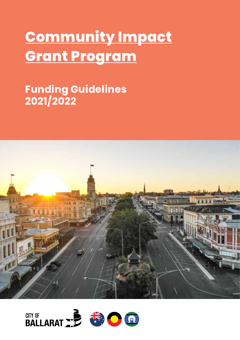# **Community Impact Grant Program**

## **Funding Guidelines 2021/2022**



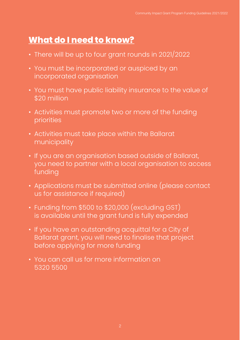## **What do I need to know?**

- There will be up to four grant rounds in 2021/2022
- You must be incorporated or auspiced by an incorporated organisation
- You must have public liability insurance to the value of \$20 million
- Activities must promote two or more of the funding priorities
- Activities must take place within the Ballarat municipality
- If you are an organisation based outside of Ballarat, you need to partner with a local organisation to access funding
- Applications must be submitted online (please contact us for assistance if required)
- Funding from \$500 to \$20,000 (excluding GST) is available until the grant fund is fully expended
- If you have an outstanding acquittal for a City of Ballarat grant, you will need to finalise that project before applying for more funding
- You can call us for more information on 5320 5500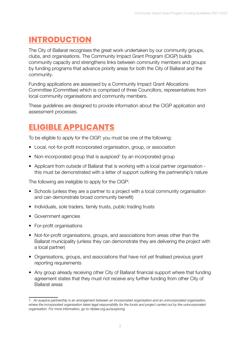#### **INTRODUCTION**

The City of Ballarat recognises the great work undertaken by our community groups, clubs, and organisations. The Community Impact Grant Program (CIGP) builds community capacity and strengthens links between community members and groups by funding programs that advance priority areas for both the City of Ballarat and the community.

Funding applications are assessed by a Community Impact Grant Allocations Committee (Committee) which is comprised of three Councillors, representatives from local community organisations and community members.

These guidelines are designed to provide information about the CIGP application and assessment processes.

#### **ELIGIBLE APPLICANTS**

To be eligible to apply for the CIGP, you must be one of the following:

- Local, not-for-profit incorporated organisation, group, or association
- Non-incorporated group that is auspiced<sup>1</sup> by an incorporated group
- Applicant from outside of Ballarat that is working with a local partner organisation this must be demonstrated with a letter of support outlining the partnership's nature

The following are ineligible to apply for the CIGP:

- Schools (unless they are a partner to a project with a local community organisation and can demonstrate broad community benefit)
- Individuals, sole traders, family trusts, public trading trusts
- Government agencies
- For-profit organisations
- Not-for-profit organisations, groups, and associations from areas other than the Ballarat municipality (unless they can demonstrate they are delivering the project with a local partner)
- Organisations, groups, and associations that have not yet finalised previous grant reporting requirements
- Any group already receiving other City of Ballarat financial support where that funding agreement states that they must not receive any further funding from other City of Ballarat areas

*<sup>1.</sup> An auspice partnership is an arrangement between an incorporated organisation and an unincorporated organisation, where the incorporated organisation takes legal responsibility for the funds and project carried out by the unincorporated organisation. For more information, go to nfplaw.org.au/auspicing*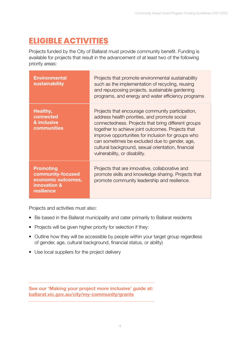#### **ELIGIBLE ACTIVITIES**

Projects funded by the City of Ballarat must provide community benefit. Funding is available for projects that result in the advancement of at least two of the following priority areas:

| <b>Environmental</b><br>sustainability                                                    | Projects that promote environmental sustainability<br>such as the implementation of recycling, reusing<br>and repurposing projects, sustainable gardening<br>programs, and energy and water efficiency programs                                                                                                                                                                                             |
|-------------------------------------------------------------------------------------------|-------------------------------------------------------------------------------------------------------------------------------------------------------------------------------------------------------------------------------------------------------------------------------------------------------------------------------------------------------------------------------------------------------------|
| Healthy,<br>connected<br>& inclusive<br>communities                                       | Projects that encourage community participation,<br>address health priorities, and promote social<br>connectedness. Projects that bring different groups<br>together to achieve joint outcomes. Projects that<br>improve opportunities for inclusion for groups who<br>can sometimes be excluded due to gender, age,<br>cultural background, sexual orientation, financial<br>vulnerability, or disability. |
| <b>Promoting</b><br>community-focused<br>economic outcomes,<br>innovation &<br>resilience | Projects that are innovative, collaborative and<br>promote skills and knowledge sharing. Projects that<br>promote community leadership and resilience.                                                                                                                                                                                                                                                      |

Projects and activities must also:

- Be based in the Ballarat municipality and cater primarily to Ballarat residents
- Projects will be given higher priority for selection if they:
- Outline how they will be accessible by people within your target group regardless of gender, age, cultural background, financial status, or ability)
- Use local suppliers for the project delivery

See our 'Making your project more inclusive' guide at: [ballarat.vic.gov.au/city/my-community/grants](https://www.ballarat.vic.gov.au/city/my-community/grants)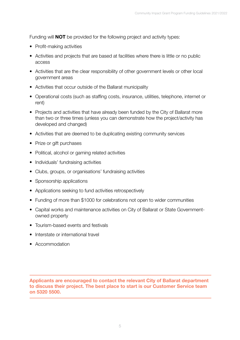Funding will **NOT** be provided for the following project and activity types:

- Profit-making activities
- Activities and projects that are based at facilities where there is little or no public access
- Activities that are the clear responsibility of other government levels or other local government areas
- Activities that occur outside of the Ballarat municipality
- Operational costs (such as staffing costs, insurance, utilities, telephone, internet or rent)
- Projects and activities that have already been funded by the City of Ballarat more than two or three times (unless you can demonstrate how the project/activity has developed and changed)
- Activities that are deemed to be duplicating existing community services
- Prize or gift purchases
- Political, alcohol or gaming related activities
- Individuals' fundraising activities
- Clubs, groups, or organisations' fundraising activities
- Sponsorship applications
- Applications seeking to fund activities retrospectively
- Funding of more than \$1000 for celebrations not open to wider communities
- Capital works and maintenance activities on City of Ballarat or State Governmentowned property
- Tourism-based events and festivals
- Interstate or international travel
- Accommodation

Applicants are encouraged to contact the relevant City of Ballarat department to discuss their project. The best place to start is our Customer Service team on 5320 5500.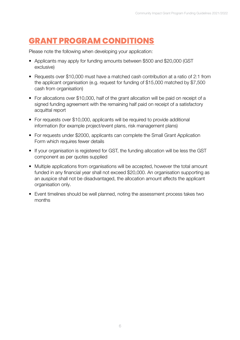### **GRANT PROGRAM CONDITIONS**

Please note the following when developing your application:

- Applicants may apply for funding amounts between \$500 and \$20,000 (GST exclusive)
- Requests over \$10,000 must have a matched cash contribution at a ratio of 2:1 from the applicant organisation (e.g. request for funding of \$15,000 matched by \$7,500 cash from organisation)
- For allocations over \$10,000, half of the grant allocation will be paid on receipt of a signed funding agreement with the remaining half paid on receipt of a satisfactory acquittal report
- For requests over \$10,000, applicants will be required to provide additional information (for example project/event plans, risk management plans)
- For requests under \$2000, applicants can complete the Small Grant Application Form which requires fewer details
- If your organisation is registered for GST, the funding allocation will be less the GST component as per quotes supplied
- Multiple applications from organisations will be accepted, however the total amount funded in any financial year shall not exceed \$20,000. An organisation supporting as an auspice shall not be disadvantaged, the allocation amount affects the applicant organisation only.
- Event timelines should be well planned, noting the assessment process takes two months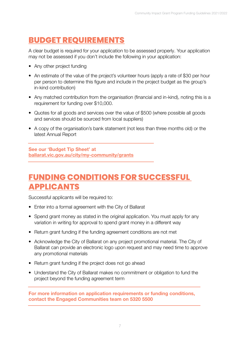#### **BUDGET REQUIREMENTS**

A clear budget is required for your application to be assessed properly. Your application may not be assessed if you don't include the following in your application:

- Any other project funding
- An estimate of the value of the project's volunteer hours (apply a rate of \$30 per hour per person to determine this figure and include in the project budget as the group's in-kind contribution)
- Any matched contribution from the organisation (financial and in-kind), noting this is a requirement for funding over \$10,000.
- Quotes for all goods and services over the value of \$500 (where possible all goods and services should be sourced from local suppliers)
- A copy of the organisation's bank statement (not less than three months old) or the latest Annual Report

See our 'Budget Tip Sheet' at [ballarat.vic.gov.au/city/my-community/grants](https://www.ballarat.vic.gov.au/city/my-community/grants)

#### **FUNDING CONDITIONS FOR SUCCESSFUL APPLICANTS**

Successful applicants will be required to:

- Enter into a formal agreement with the City of Ballarat
- Spend grant money as stated in the original application. You must apply for any variation in writing for approval to spend grant money in a different way
- Return grant funding if the funding agreement conditions are not met
- Acknowledge the City of Ballarat on any project promotional material. The City of Ballarat can provide an electronic logo upon request and may need time to approve any promotional materials
- Return grant funding if the project does not go ahead
- Understand the City of Ballarat makes no commitment or obligation to fund the project beyond the funding agreement term

For more information on application requirements or funding conditions, contact the Engaged Communities team on 5320 5500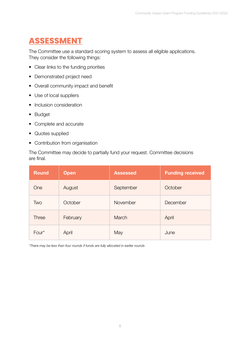## **ASSESSMENT**

The Committee use a standard scoring system to assess all eligible applications. They consider the following things:

- Clear links to the funding priorities
- Demonstrated project need
- Overall community impact and benefit
- Use of local suppliers
- Inclusion consideration
- Budget
- Complete and accurate
- Quotes supplied
- Contribution from organisation

The Committee may decide to partially fund your request. Committee decisions are final.

| <b>Round</b> | <b>Open</b> | <b>Assessed</b> | <b>Funding received</b> |
|--------------|-------------|-----------------|-------------------------|
| One          | August      | September       | October                 |
| Two          | October     | November        | December                |
| <b>Three</b> | February    | March           | April                   |
| Four*        | April       | May             | June                    |

*\*There may be less than four rounds if funds are fully allocated in earlier rounds*